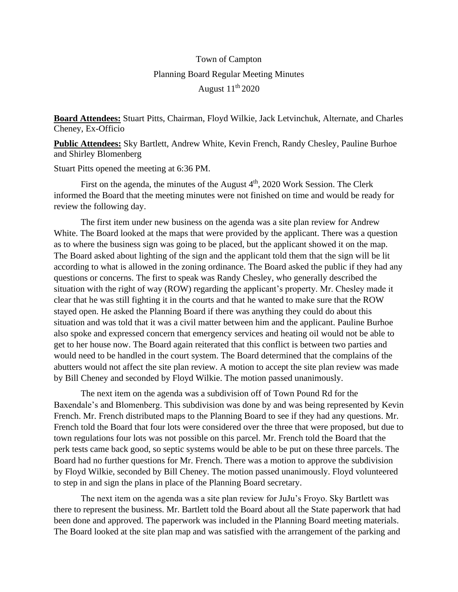## Town of Campton Planning Board Regular Meeting Minutes August  $11<sup>th</sup> 2020$

**Board Attendees:** Stuart Pitts, Chairman, Floyd Wilkie, Jack Letvinchuk, Alternate, and Charles Cheney, Ex-Officio

**Public Attendees:** Sky Bartlett, Andrew White, Kevin French, Randy Chesley, Pauline Burhoe and Shirley Blomenberg

Stuart Pitts opened the meeting at 6:36 PM.

First on the agenda, the minutes of the August  $4<sup>th</sup>$ , 2020 Work Session. The Clerk informed the Board that the meeting minutes were not finished on time and would be ready for review the following day.

The first item under new business on the agenda was a site plan review for Andrew White. The Board looked at the maps that were provided by the applicant. There was a question as to where the business sign was going to be placed, but the applicant showed it on the map. The Board asked about lighting of the sign and the applicant told them that the sign will be lit according to what is allowed in the zoning ordinance. The Board asked the public if they had any questions or concerns. The first to speak was Randy Chesley, who generally described the situation with the right of way (ROW) regarding the applicant's property. Mr. Chesley made it clear that he was still fighting it in the courts and that he wanted to make sure that the ROW stayed open. He asked the Planning Board if there was anything they could do about this situation and was told that it was a civil matter between him and the applicant. Pauline Burhoe also spoke and expressed concern that emergency services and heating oil would not be able to get to her house now. The Board again reiterated that this conflict is between two parties and would need to be handled in the court system. The Board determined that the complains of the abutters would not affect the site plan review. A motion to accept the site plan review was made by Bill Cheney and seconded by Floyd Wilkie. The motion passed unanimously.

The next item on the agenda was a subdivision off of Town Pound Rd for the Baxendale's and Blomenberg. This subdivision was done by and was being represented by Kevin French. Mr. French distributed maps to the Planning Board to see if they had any questions. Mr. French told the Board that four lots were considered over the three that were proposed, but due to town regulations four lots was not possible on this parcel. Mr. French told the Board that the perk tests came back good, so septic systems would be able to be put on these three parcels. The Board had no further questions for Mr. French. There was a motion to approve the subdivision by Floyd Wilkie, seconded by Bill Cheney. The motion passed unanimously. Floyd volunteered to step in and sign the plans in place of the Planning Board secretary.

The next item on the agenda was a site plan review for JuJu's Froyo. Sky Bartlett was there to represent the business. Mr. Bartlett told the Board about all the State paperwork that had been done and approved. The paperwork was included in the Planning Board meeting materials. The Board looked at the site plan map and was satisfied with the arrangement of the parking and